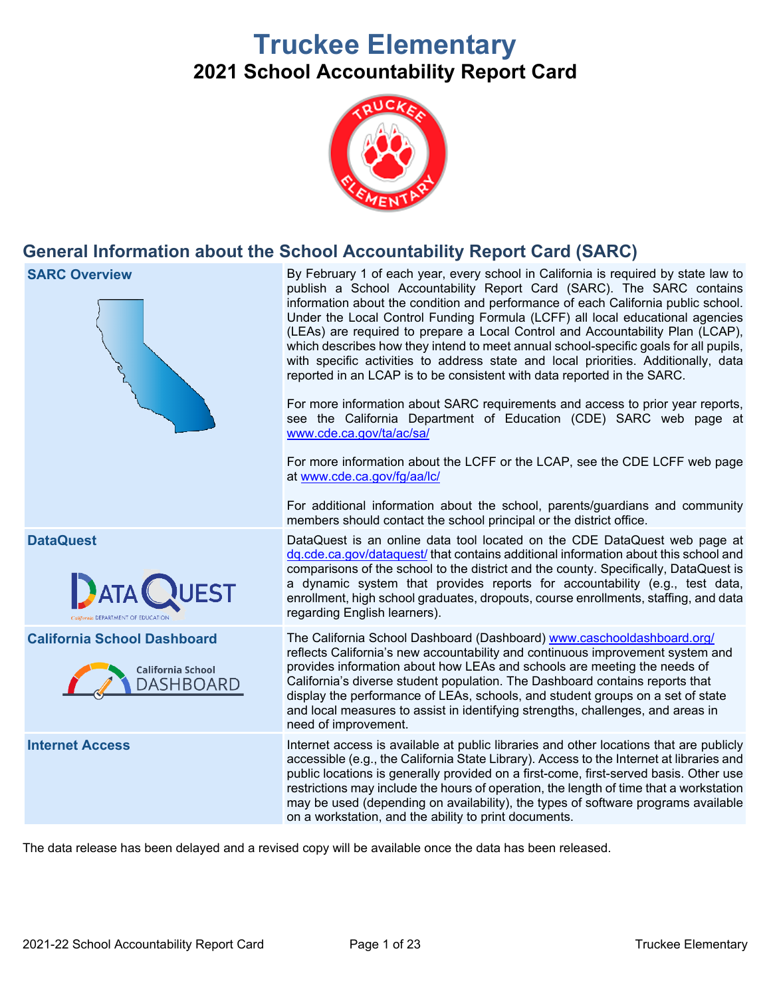# **Truckee Elementary 2021 School Accountability Report Card**



# **General Information about the School Accountability Report Card (SARC)**



The data release has been delayed and a revised copy will be available once the data has been released.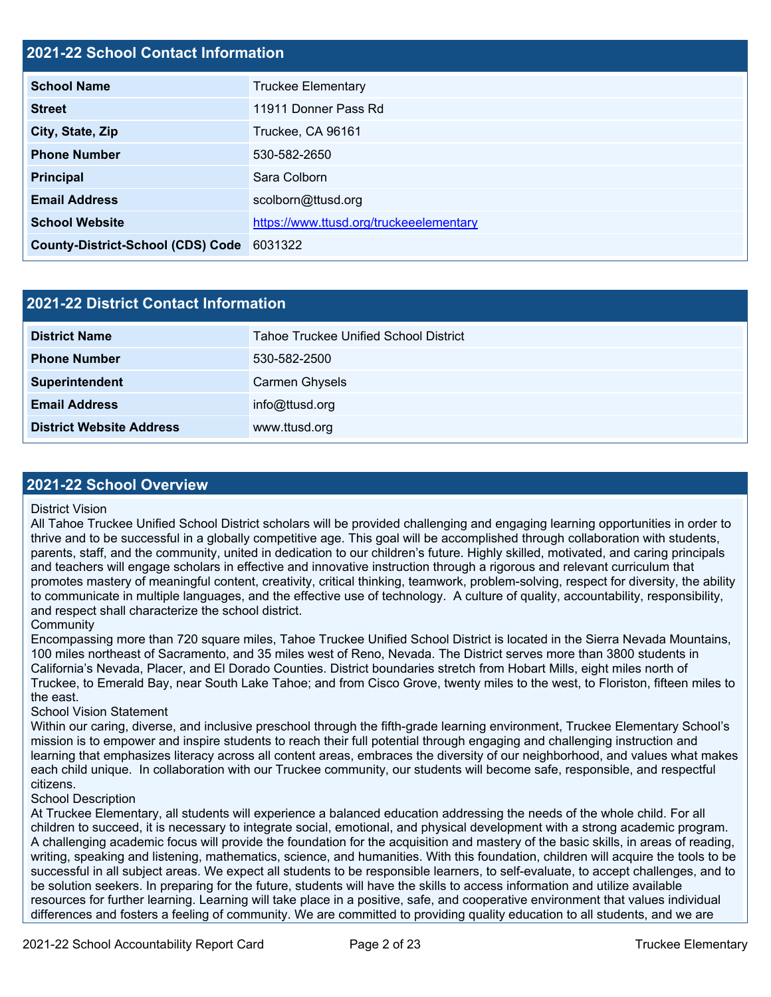### **2021-22 School Contact Information**

| <b>School Name</b>                        | <b>Truckee Elementary</b>               |  |  |  |
|-------------------------------------------|-----------------------------------------|--|--|--|
| <b>Street</b>                             | 11911 Donner Pass Rd                    |  |  |  |
| City, State, Zip                          | Truckee, CA 96161                       |  |  |  |
| <b>Phone Number</b>                       | 530-582-2650                            |  |  |  |
| <b>Principal</b>                          | Sara Colborn                            |  |  |  |
| <b>Email Address</b>                      | scolborn@ttusd.org                      |  |  |  |
| <b>School Website</b>                     | https://www.ttusd.org/truckeeelementary |  |  |  |
| County-District-School (CDS) Code 6031322 |                                         |  |  |  |

| 2021-22 District Contact Information |                                              |  |  |  |
|--------------------------------------|----------------------------------------------|--|--|--|
| <b>District Name</b>                 | <b>Tahoe Truckee Unified School District</b> |  |  |  |
| <b>Phone Number</b>                  | 530-582-2500                                 |  |  |  |
| Superintendent                       | Carmen Ghysels                               |  |  |  |
| <b>Email Address</b>                 | info@ttusd.org                               |  |  |  |
| <b>District Website Address</b>      | www.ttusd.org                                |  |  |  |

#### **2021-22 School Overview**

#### District Vision

All Tahoe Truckee Unified School District scholars will be provided challenging and engaging learning opportunities in order to thrive and to be successful in a globally competitive age. This goal will be accomplished through collaboration with students, parents, staff, and the community, united in dedication to our children's future. Highly skilled, motivated, and caring principals and teachers will engage scholars in effective and innovative instruction through a rigorous and relevant curriculum that promotes mastery of meaningful content, creativity, critical thinking, teamwork, problem-solving, respect for diversity, the ability to communicate in multiple languages, and the effective use of technology. A culture of quality, accountability, responsibility, and respect shall characterize the school district.

#### **Community**

Encompassing more than 720 square miles, Tahoe Truckee Unified School District is located in the Sierra Nevada Mountains, 100 miles northeast of Sacramento, and 35 miles west of Reno, Nevada. The District serves more than 3800 students in California's Nevada, Placer, and El Dorado Counties. District boundaries stretch from Hobart Mills, eight miles north of Truckee, to Emerald Bay, near South Lake Tahoe; and from Cisco Grove, twenty miles to the west, to Floriston, fifteen miles to the east.

#### School Vision Statement

Within our caring, diverse, and inclusive preschool through the fifth-grade learning environment, Truckee Elementary School's mission is to empower and inspire students to reach their full potential through engaging and challenging instruction and learning that emphasizes literacy across all content areas, embraces the diversity of our neighborhood, and values what makes each child unique. In collaboration with our Truckee community, our students will become safe, responsible, and respectful citizens.

#### School Description

At Truckee Elementary, all students will experience a balanced education addressing the needs of the whole child. For all children to succeed, it is necessary to integrate social, emotional, and physical development with a strong academic program. A challenging academic focus will provide the foundation for the acquisition and mastery of the basic skills, in areas of reading, writing, speaking and listening, mathematics, science, and humanities. With this foundation, children will acquire the tools to be successful in all subject areas. We expect all students to be responsible learners, to self-evaluate, to accept challenges, and to be solution seekers. In preparing for the future, students will have the skills to access information and utilize available resources for further learning. Learning will take place in a positive, safe, and cooperative environment that values individual differences and fosters a feeling of community. We are committed to providing quality education to all students, and we are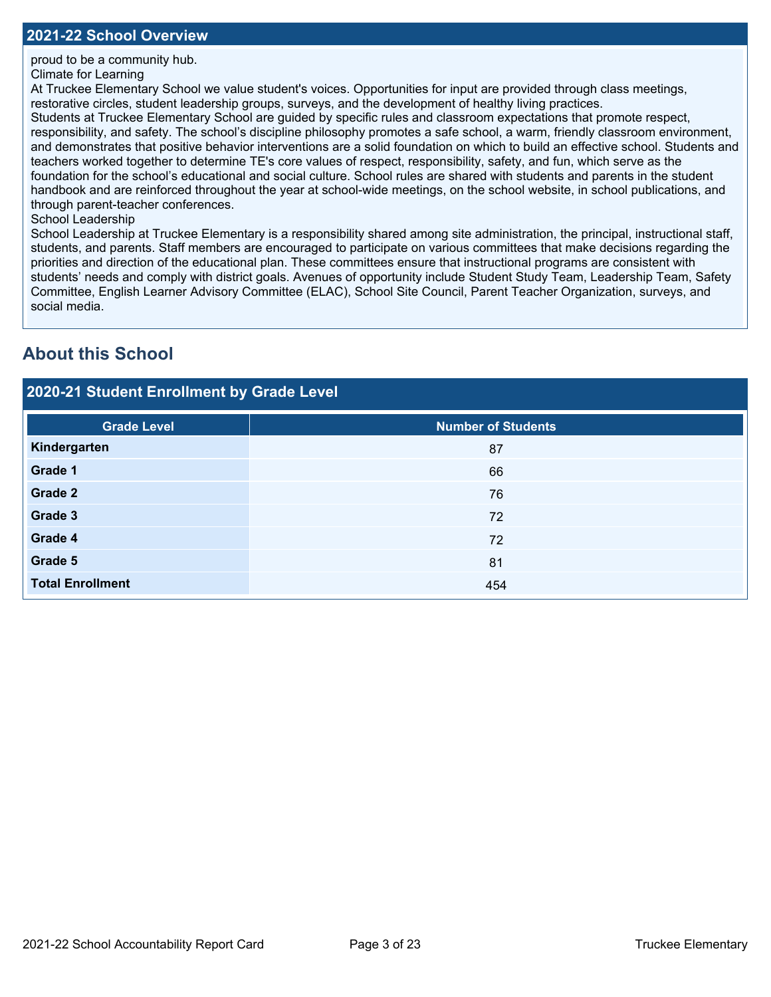proud to be a community hub.

#### Climate for Learning

At Truckee Elementary School we value student's voices. Opportunities for input are provided through class meetings, restorative circles, student leadership groups, surveys, and the development of healthy living practices.

Students at Truckee Elementary School are guided by specific rules and classroom expectations that promote respect, responsibility, and safety. The school's discipline philosophy promotes a safe school, a warm, friendly classroom environment, and demonstrates that positive behavior interventions are a solid foundation on which to build an effective school. Students and teachers worked together to determine TE's core values of respect, responsibility, safety, and fun, which serve as the foundation for the school's educational and social culture. School rules are shared with students and parents in the student handbook and are reinforced throughout the year at school-wide meetings, on the school website, in school publications, and through parent-teacher conferences.

#### School Leadership

School Leadership at Truckee Elementary is a responsibility shared among site administration, the principal, instructional staff, students, and parents. Staff members are encouraged to participate on various committees that make decisions regarding the priorities and direction of the educational plan. These committees ensure that instructional programs are consistent with students' needs and comply with district goals. Avenues of opportunity include Student Study Team, Leadership Team, Safety Committee, English Learner Advisory Committee (ELAC), School Site Council, Parent Teacher Organization, surveys, and social media.

# **About this School**

| 2020-21 Student Enrollment by Grade Level |                           |  |  |  |  |
|-------------------------------------------|---------------------------|--|--|--|--|
| <b>Grade Level</b>                        | <b>Number of Students</b> |  |  |  |  |
| Kindergarten                              | 87                        |  |  |  |  |
| <b>Grade 1</b>                            | 66                        |  |  |  |  |
| <b>Grade 2</b>                            | 76                        |  |  |  |  |
| Grade 3                                   | 72                        |  |  |  |  |
| Grade 4                                   | 72                        |  |  |  |  |
| Grade 5                                   | 81                        |  |  |  |  |
| <b>Total Enrollment</b>                   | 454                       |  |  |  |  |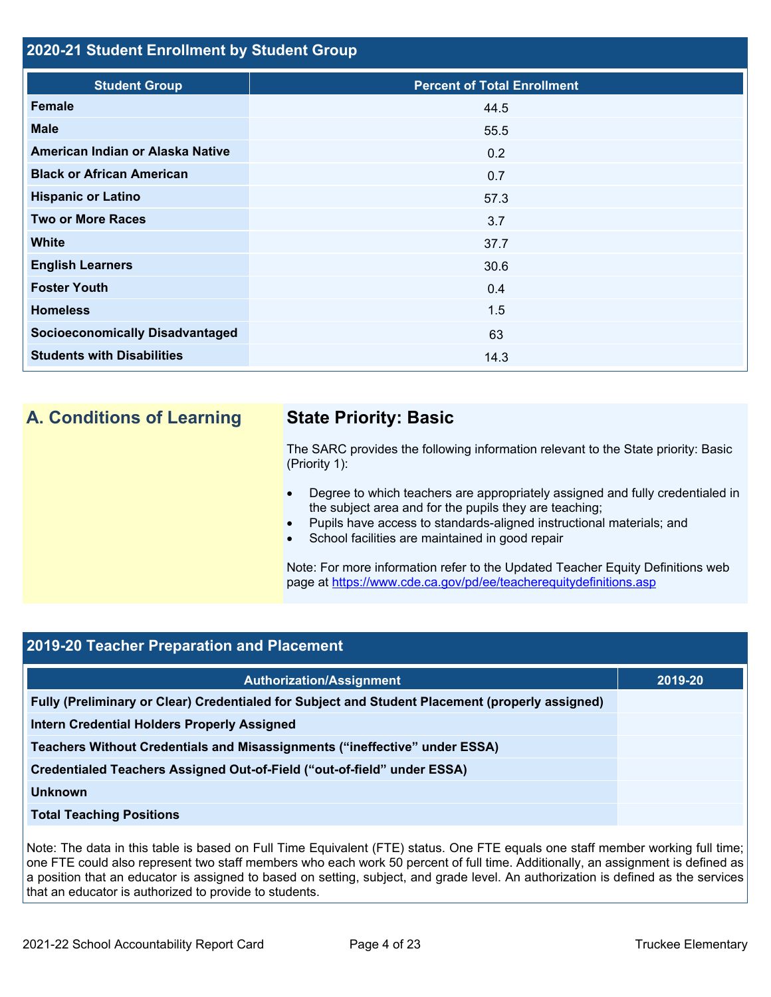#### **2020-21 Student Enrollment by Student Group**

| <b>Student Group</b>                   | <b>Percent of Total Enrollment</b> |
|----------------------------------------|------------------------------------|
| <b>Female</b>                          | 44.5                               |
| <b>Male</b>                            | 55.5                               |
| American Indian or Alaska Native       | 0.2                                |
| <b>Black or African American</b>       | 0.7                                |
| <b>Hispanic or Latino</b>              | 57.3                               |
| <b>Two or More Races</b>               | 3.7                                |
| <b>White</b>                           | 37.7                               |
| <b>English Learners</b>                | 30.6                               |
| <b>Foster Youth</b>                    | 0.4                                |
| <b>Homeless</b>                        | 1.5                                |
| <b>Socioeconomically Disadvantaged</b> | 63                                 |
| <b>Students with Disabilities</b>      | 14.3                               |

# **A. Conditions of Learning State Priority: Basic**

The SARC provides the following information relevant to the State priority: Basic (Priority 1):

- Degree to which teachers are appropriately assigned and fully credentialed in the subject area and for the pupils they are teaching;
- Pupils have access to standards-aligned instructional materials; and
- School facilities are maintained in good repair

Note: For more information refer to the Updated Teacher Equity Definitions web page at <https://www.cde.ca.gov/pd/ee/teacherequitydefinitions.asp>

## **2019-20 Teacher Preparation and Placement**

| <b>Authorization/Assignment</b>                                                                 | 2019-20 |
|-------------------------------------------------------------------------------------------------|---------|
| Fully (Preliminary or Clear) Credentialed for Subject and Student Placement (properly assigned) |         |
| Intern Credential Holders Properly Assigned                                                     |         |
| Teachers Without Credentials and Misassignments ("ineffective" under ESSA)                      |         |
| Credentialed Teachers Assigned Out-of-Field ("out-of-field" under ESSA)                         |         |
| <b>Unknown</b>                                                                                  |         |
| <b>Total Teaching Positions</b>                                                                 |         |

Note: The data in this table is based on Full Time Equivalent (FTE) status. One FTE equals one staff member working full time; one FTE could also represent two staff members who each work 50 percent of full time. Additionally, an assignment is defined as a position that an educator is assigned to based on setting, subject, and grade level. An authorization is defined as the services that an educator is authorized to provide to students.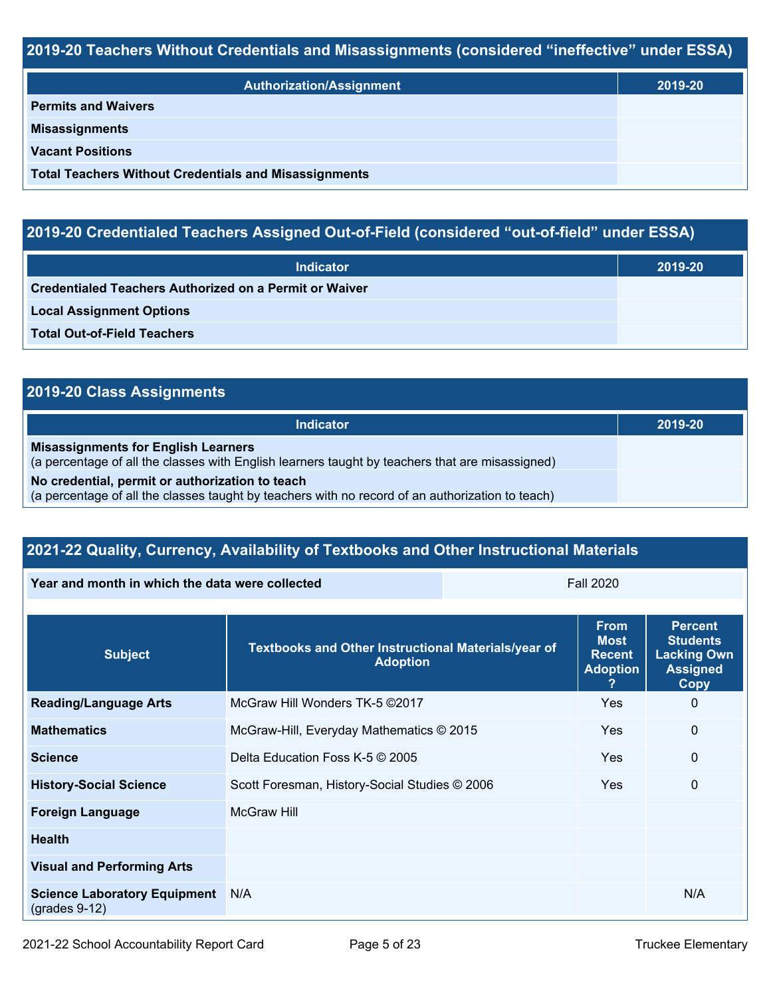### **2019-20 Teachers Without Credentials and Misassignments (considered "ineffective" under ESSA)**

| <b>Authorization/Assignment</b>                              | 2019-20 |
|--------------------------------------------------------------|---------|
| <b>Permits and Waivers</b>                                   |         |
| <b>Misassignments</b>                                        |         |
| <b>Vacant Positions</b>                                      |         |
| <b>Total Teachers Without Credentials and Misassignments</b> |         |

# **2019-20 Credentialed Teachers Assigned Out-of-Field (considered "out-of-field" under ESSA)**

| <b>Indicator</b>                                       | 2019-20 |
|--------------------------------------------------------|---------|
| Credentialed Teachers Authorized on a Permit or Waiver |         |
| <b>Local Assignment Options</b>                        |         |
| <b>Total Out-of-Field Teachers</b>                     |         |

# **2019-20 Class Assignments**

| <b>Indicator</b>                                                                                                                                    | 2019-20 |
|-----------------------------------------------------------------------------------------------------------------------------------------------------|---------|
| <b>Misassignments for English Learners</b><br>(a percentage of all the classes with English learners taught by teachers that are misassigned)       |         |
| No credential, permit or authorization to teach<br>(a percentage of all the classes taught by teachers with no record of an authorization to teach) |         |

# **2021-22 Quality, Currency, Availability of Textbooks and Other Instructional Materials**

| Year and month in which the data were collected | <b>Fall 2020</b> |
|-------------------------------------------------|------------------|
|                                                 |                  |

| <b>Subject</b>                                         | Textbooks and Other Instructional Materials/year of<br><b>Adoption</b> | <b>From</b><br><b>Most</b><br><b>Recent</b><br><b>Adoption</b> | <b>Percent</b><br><b>Students</b><br><b>Lacking Own</b><br><b>Assigned</b><br>Copy |
|--------------------------------------------------------|------------------------------------------------------------------------|----------------------------------------------------------------|------------------------------------------------------------------------------------|
| <b>Reading/Language Arts</b>                           | McGraw Hill Wonders TK-5 ©2017                                         | <b>Yes</b>                                                     | $\Omega$                                                                           |
| <b>Mathematics</b>                                     | McGraw-Hill, Everyday Mathematics © 2015                               | Yes                                                            | $\mathbf 0$                                                                        |
| <b>Science</b>                                         | Delta Education Foss K-5 © 2005                                        | Yes                                                            | $\mathbf{0}$                                                                       |
| <b>History-Social Science</b>                          | Scott Foresman, History-Social Studies © 2006                          | <b>Yes</b>                                                     | $\mathbf{0}$                                                                       |
| <b>Foreign Language</b>                                | <b>McGraw Hill</b>                                                     |                                                                |                                                                                    |
| <b>Health</b>                                          |                                                                        |                                                                |                                                                                    |
| <b>Visual and Performing Arts</b>                      |                                                                        |                                                                |                                                                                    |
| <b>Science Laboratory Equipment</b><br>$(grades 9-12)$ | N/A                                                                    |                                                                | N/A                                                                                |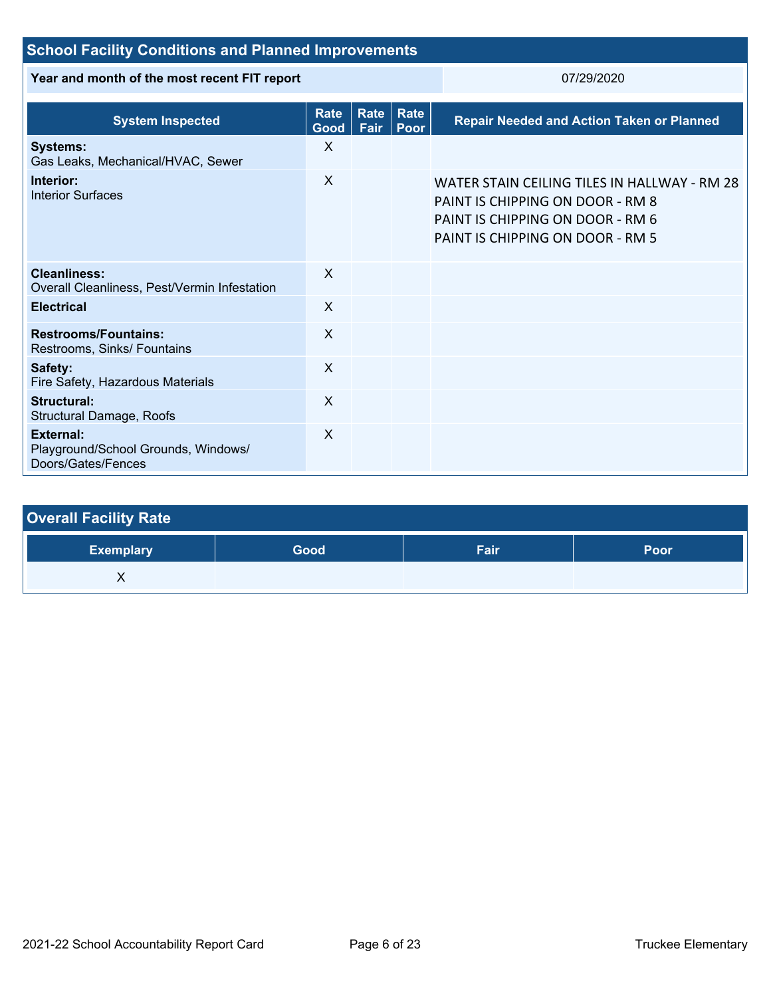| <b>School Facility Conditions and Planned Improvements</b>                    |                                                      |  |                                                  |                                                                                                                                                          |  |
|-------------------------------------------------------------------------------|------------------------------------------------------|--|--------------------------------------------------|----------------------------------------------------------------------------------------------------------------------------------------------------------|--|
| Year and month of the most recent FIT report                                  |                                                      |  | 07/29/2020                                       |                                                                                                                                                          |  |
| <b>System Inspected</b>                                                       | Rate <br>Rate<br><b>Rate</b><br>Fair<br>Good<br>Poor |  | <b>Repair Needed and Action Taken or Planned</b> |                                                                                                                                                          |  |
| <b>Systems:</b><br>Gas Leaks, Mechanical/HVAC, Sewer                          | $\mathsf{X}$                                         |  |                                                  |                                                                                                                                                          |  |
| Interior:<br><b>Interior Surfaces</b>                                         | $\sf X$                                              |  |                                                  | WATER STAIN CEILING TILES IN HALLWAY - RM 28<br>PAINT IS CHIPPING ON DOOR - RM 8<br>PAINT IS CHIPPING ON DOOR - RM 6<br>PAINT IS CHIPPING ON DOOR - RM 5 |  |
| <b>Cleanliness:</b><br>Overall Cleanliness, Pest/Vermin Infestation           | $\mathsf{X}$                                         |  |                                                  |                                                                                                                                                          |  |
| <b>Electrical</b>                                                             | $\sf X$                                              |  |                                                  |                                                                                                                                                          |  |
| <b>Restrooms/Fountains:</b><br>Restrooms, Sinks/ Fountains                    | $\sf X$                                              |  |                                                  |                                                                                                                                                          |  |
| Safety:<br>Fire Safety, Hazardous Materials                                   | $\sf X$                                              |  |                                                  |                                                                                                                                                          |  |
| <b>Structural:</b><br>Structural Damage, Roofs                                | $\mathsf{x}$                                         |  |                                                  |                                                                                                                                                          |  |
| <b>External:</b><br>Playground/School Grounds, Windows/<br>Doors/Gates/Fences | $\sf X$                                              |  |                                                  |                                                                                                                                                          |  |

| <b>Overall Facility Rate</b> |      |      |      |
|------------------------------|------|------|------|
| <b>Exemplary</b>             | Good | Fair | Poor |
|                              |      |      |      |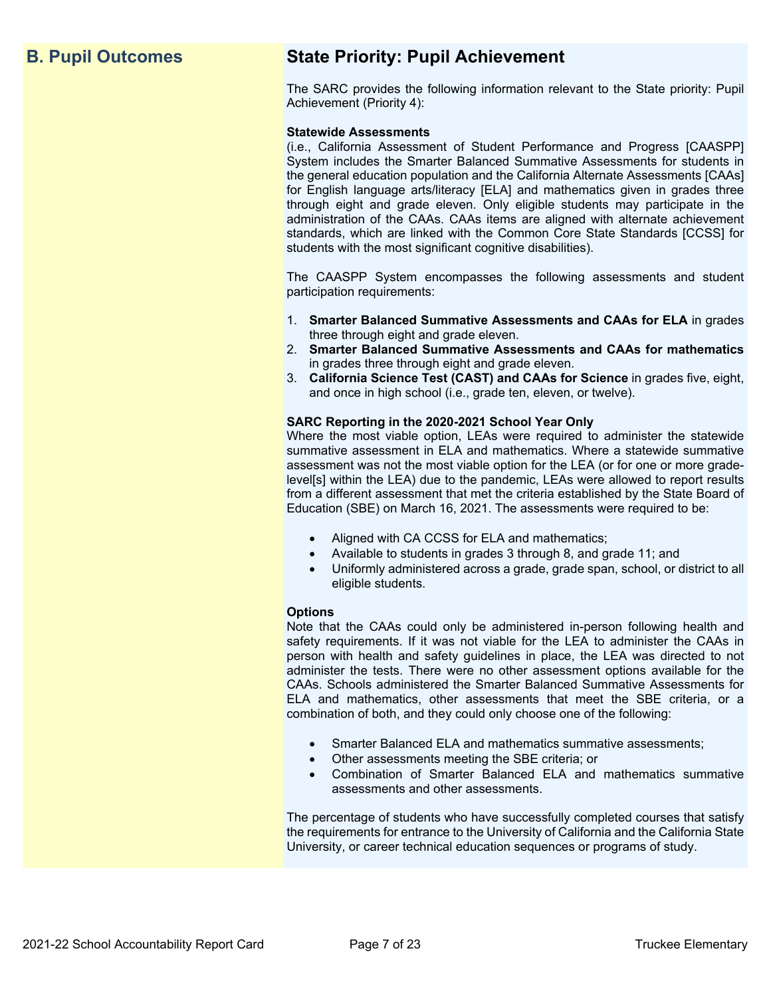# **B. Pupil Outcomes State Priority: Pupil Achievement**

The SARC provides the following information relevant to the State priority: Pupil Achievement (Priority 4):

#### **Statewide Assessments**

(i.e., California Assessment of Student Performance and Progress [CAASPP] System includes the Smarter Balanced Summative Assessments for students in the general education population and the California Alternate Assessments [CAAs] for English language arts/literacy [ELA] and mathematics given in grades three through eight and grade eleven. Only eligible students may participate in the administration of the CAAs. CAAs items are aligned with alternate achievement standards, which are linked with the Common Core State Standards [CCSS] for students with the most significant cognitive disabilities).

The CAASPP System encompasses the following assessments and student participation requirements:

- 1. **Smarter Balanced Summative Assessments and CAAs for ELA** in grades three through eight and grade eleven.
- 2. **Smarter Balanced Summative Assessments and CAAs for mathematics** in grades three through eight and grade eleven.
- 3. **California Science Test (CAST) and CAAs for Science** in grades five, eight, and once in high school (i.e., grade ten, eleven, or twelve).

#### **SARC Reporting in the 2020-2021 School Year Only**

Where the most viable option, LEAs were required to administer the statewide summative assessment in ELA and mathematics. Where a statewide summative assessment was not the most viable option for the LEA (or for one or more gradelevel[s] within the LEA) due to the pandemic, LEAs were allowed to report results from a different assessment that met the criteria established by the State Board of Education (SBE) on March 16, 2021. The assessments were required to be:

- Aligned with CA CCSS for ELA and mathematics;
- Available to students in grades 3 through 8, and grade 11; and
- Uniformly administered across a grade, grade span, school, or district to all eligible students.

#### **Options**

Note that the CAAs could only be administered in-person following health and safety requirements. If it was not viable for the LEA to administer the CAAs in person with health and safety guidelines in place, the LEA was directed to not administer the tests. There were no other assessment options available for the CAAs. Schools administered the Smarter Balanced Summative Assessments for ELA and mathematics, other assessments that meet the SBE criteria, or a combination of both, and they could only choose one of the following:

- Smarter Balanced ELA and mathematics summative assessments;
- Other assessments meeting the SBE criteria; or
- Combination of Smarter Balanced ELA and mathematics summative assessments and other assessments.

The percentage of students who have successfully completed courses that satisfy the requirements for entrance to the University of California and the California State University, or career technical education sequences or programs of study.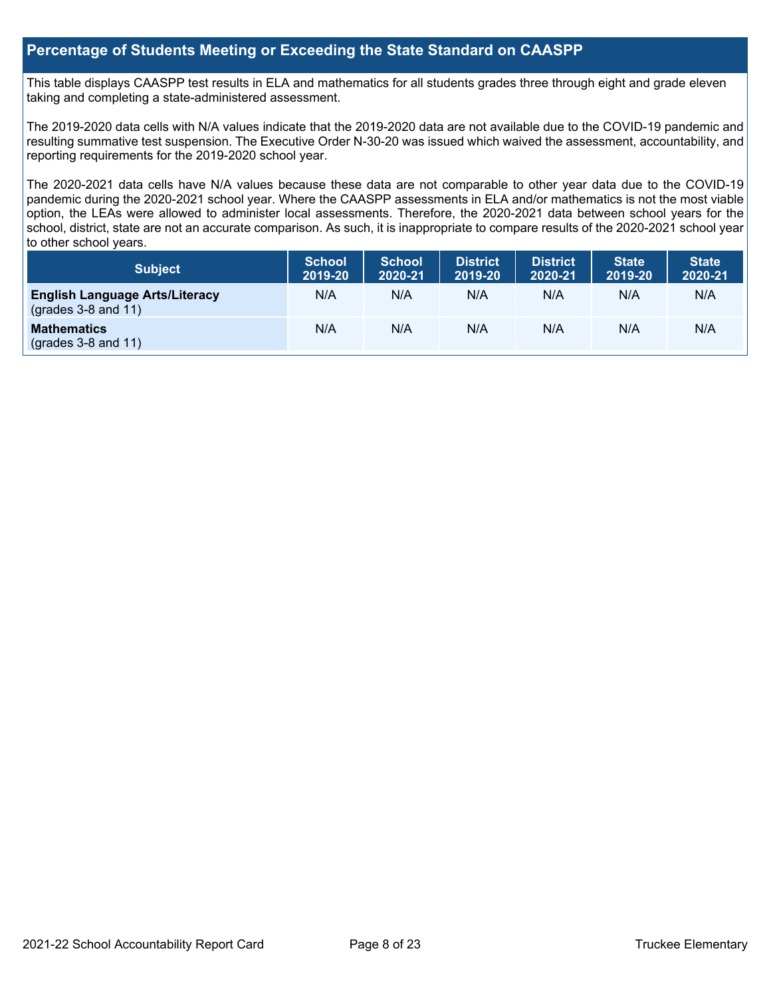#### **Percentage of Students Meeting or Exceeding the State Standard on CAASPP**

This table displays CAASPP test results in ELA and mathematics for all students grades three through eight and grade eleven taking and completing a state-administered assessment.

The 2019-2020 data cells with N/A values indicate that the 2019-2020 data are not available due to the COVID-19 pandemic and resulting summative test suspension. The Executive Order N-30-20 was issued which waived the assessment, accountability, and reporting requirements for the 2019-2020 school year.

The 2020-2021 data cells have N/A values because these data are not comparable to other year data due to the COVID-19 pandemic during the 2020-2021 school year. Where the CAASPP assessments in ELA and/or mathematics is not the most viable option, the LEAs were allowed to administer local assessments. Therefore, the 2020-2021 data between school years for the school, district, state are not an accurate comparison. As such, it is inappropriate to compare results of the 2020-2021 school year to other school years.

| <b>Subject</b>                                                       | <b>School</b><br>2019-20 | <b>School</b><br>2020-21 | <b>District</b><br>2019-20 | <b>District</b><br>2020-21 | <b>State</b><br>2019-20 | <b>State</b><br>2020-21 |
|----------------------------------------------------------------------|--------------------------|--------------------------|----------------------------|----------------------------|-------------------------|-------------------------|
| <b>English Language Arts/Literacy</b><br>$\left($ grades 3-8 and 11) | N/A                      | N/A                      | N/A                        | N/A                        | N/A                     | N/A                     |
| <b>Mathematics</b><br>$(grades 3-8 and 11)$                          | N/A                      | N/A                      | N/A                        | N/A                        | N/A                     | N/A                     |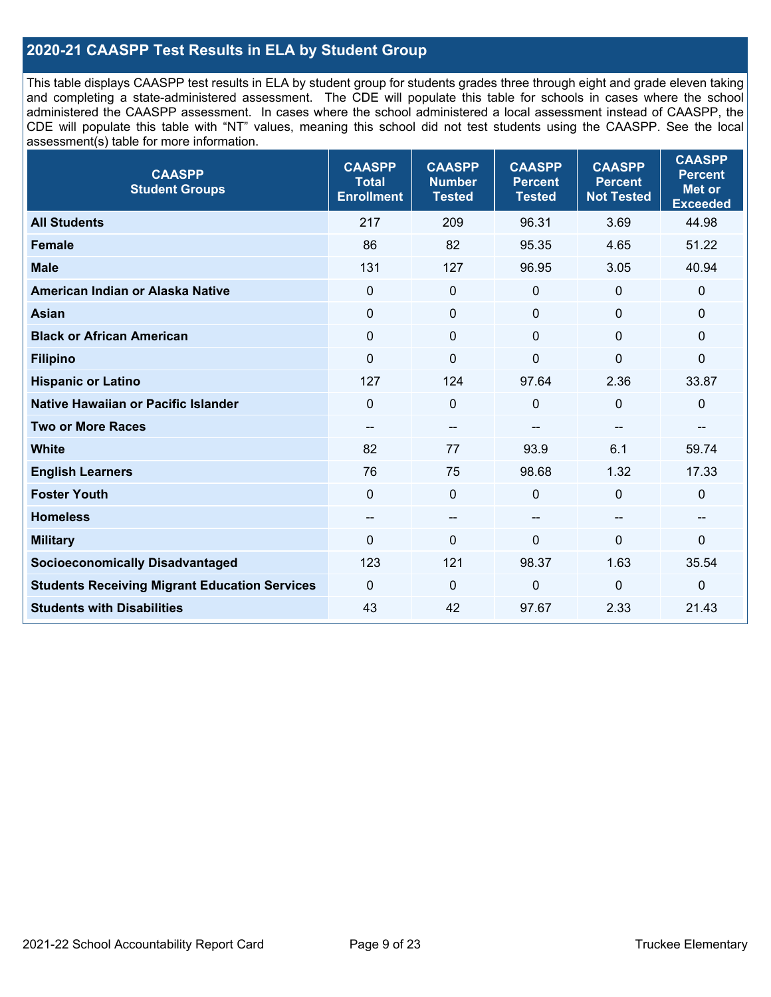### **2020-21 CAASPP Test Results in ELA by Student Group**

This table displays CAASPP test results in ELA by student group for students grades three through eight and grade eleven taking and completing a state-administered assessment. The CDE will populate this table for schools in cases where the school administered the CAASPP assessment. In cases where the school administered a local assessment instead of CAASPP, the CDE will populate this table with "NT" values, meaning this school did not test students using the CAASPP. See the local assessment(s) table for more information.

| <b>CAASPP</b><br><b>Student Groups</b>               | <b>CAASPP</b><br><b>Total</b><br><b>Enrollment</b> | <b>CAASPP</b><br><b>Number</b><br><b>Tested</b> | <b>CAASPP</b><br><b>Percent</b><br><b>Tested</b> | <b>CAASPP</b><br><b>Percent</b><br><b>Not Tested</b> | <b>CAASPP</b><br><b>Percent</b><br>Met or<br><b>Exceeded</b> |
|------------------------------------------------------|----------------------------------------------------|-------------------------------------------------|--------------------------------------------------|------------------------------------------------------|--------------------------------------------------------------|
| <b>All Students</b>                                  | 217                                                | 209                                             | 96.31                                            | 3.69                                                 | 44.98                                                        |
| <b>Female</b>                                        | 86                                                 | 82                                              | 95.35                                            | 4.65                                                 | 51.22                                                        |
| <b>Male</b>                                          | 131                                                | 127                                             | 96.95                                            | 3.05                                                 | 40.94                                                        |
| American Indian or Alaska Native                     | $\mathbf 0$                                        | $\mathbf 0$                                     | $\mathbf 0$                                      | $\mathbf 0$                                          | $\mathbf 0$                                                  |
| <b>Asian</b>                                         | $\mathbf 0$                                        | $\mathbf 0$                                     | $\mathbf 0$                                      | $\mathbf 0$                                          | $\mathbf 0$                                                  |
| <b>Black or African American</b>                     | $\mathbf 0$                                        | 0                                               | $\mathbf{0}$                                     | $\mathbf{0}$                                         | $\mathbf{0}$                                                 |
| <b>Filipino</b>                                      | $\mathbf 0$                                        | $\mathbf 0$                                     | 0                                                | 0                                                    | $\mathbf 0$                                                  |
| <b>Hispanic or Latino</b>                            | 127                                                | 124                                             | 97.64                                            | 2.36                                                 | 33.87                                                        |
| Native Hawaiian or Pacific Islander                  | $\Omega$                                           | $\mathbf 0$                                     | 0                                                | $\mathbf{0}$                                         | $\mathbf 0$                                                  |
| <b>Two or More Races</b>                             | $\overline{\phantom{m}}$                           | $-\!$                                           |                                                  | $\overline{\phantom{m}}$                             | --                                                           |
| <b>White</b>                                         | 82                                                 | 77                                              | 93.9                                             | 6.1                                                  | 59.74                                                        |
| <b>English Learners</b>                              | 76                                                 | 75                                              | 98.68                                            | 1.32                                                 | 17.33                                                        |
| <b>Foster Youth</b>                                  | $\Omega$                                           | 0                                               | $\Omega$                                         | $\mathbf{0}$                                         | $\mathbf 0$                                                  |
| <b>Homeless</b>                                      | $\overline{\phantom{a}}$                           | $\overline{\phantom{a}}$                        | --                                               | $\overline{\phantom{a}}$                             | $\overline{\phantom{a}}$                                     |
| <b>Military</b>                                      | $\mathbf 0$                                        | $\pmb{0}$                                       | 0                                                | 0                                                    | $\mathbf 0$                                                  |
| <b>Socioeconomically Disadvantaged</b>               | 123                                                | 121                                             | 98.37                                            | 1.63                                                 | 35.54                                                        |
| <b>Students Receiving Migrant Education Services</b> | $\mathbf 0$                                        | $\mathbf 0$                                     | $\mathbf 0$                                      | 0                                                    | $\mathbf 0$                                                  |
| <b>Students with Disabilities</b>                    | 43                                                 | 42                                              | 97.67                                            | 2.33                                                 | 21.43                                                        |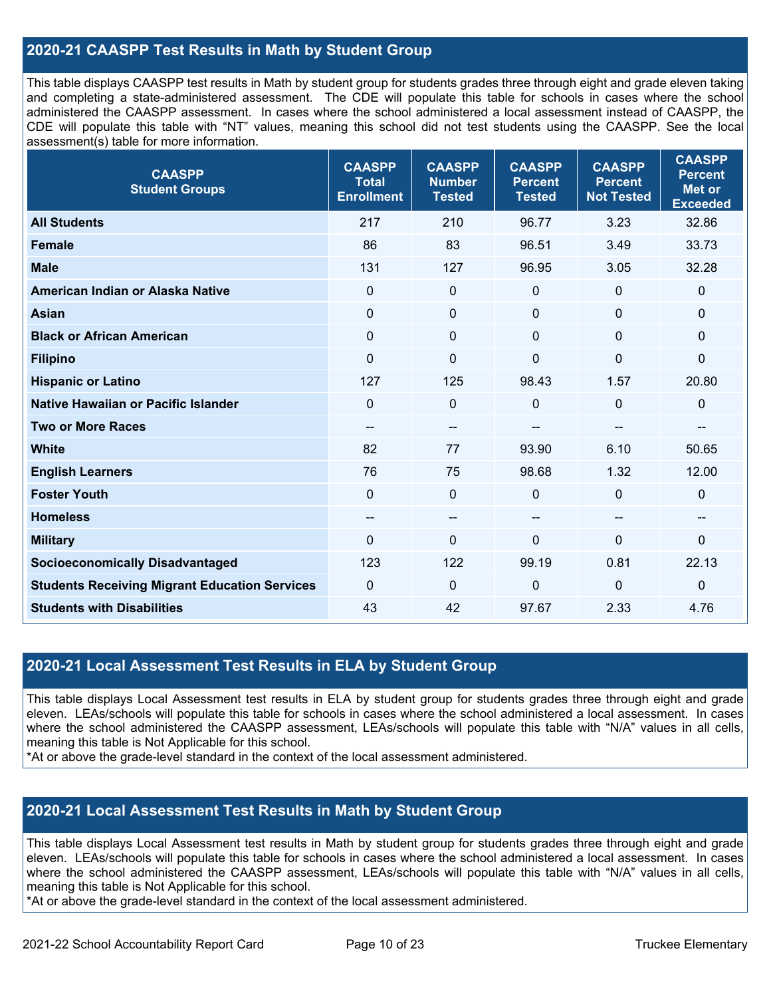### **2020-21 CAASPP Test Results in Math by Student Group**

This table displays CAASPP test results in Math by student group for students grades three through eight and grade eleven taking and completing a state-administered assessment. The CDE will populate this table for schools in cases where the school administered the CAASPP assessment. In cases where the school administered a local assessment instead of CAASPP, the CDE will populate this table with "NT" values, meaning this school did not test students using the CAASPP. See the local assessment(s) table for more information.

| <b>CAASPP</b><br><b>Student Groups</b>               | <b>CAASPP</b><br><b>Total</b><br><b>Enrollment</b> | <b>CAASPP</b><br><b>Number</b><br><b>Tested</b> | <b>CAASPP</b><br><b>Percent</b><br><b>Tested</b> | <b>CAASPP</b><br><b>Percent</b><br><b>Not Tested</b> | <b>CAASPP</b><br><b>Percent</b><br><b>Met or</b><br><b>Exceeded</b> |
|------------------------------------------------------|----------------------------------------------------|-------------------------------------------------|--------------------------------------------------|------------------------------------------------------|---------------------------------------------------------------------|
| <b>All Students</b>                                  | 217                                                | 210                                             | 96.77                                            | 3.23                                                 | 32.86                                                               |
| <b>Female</b>                                        | 86                                                 | 83                                              | 96.51                                            | 3.49                                                 | 33.73                                                               |
| <b>Male</b>                                          | 131                                                | 127                                             | 96.95                                            | 3.05                                                 | 32.28                                                               |
| American Indian or Alaska Native                     | $\mathbf 0$                                        | $\mathbf 0$                                     | $\mathbf 0$                                      | 0                                                    | $\mathbf 0$                                                         |
| <b>Asian</b>                                         | $\mathbf 0$                                        | 0                                               | $\mathbf 0$                                      | 0                                                    | $\mathbf 0$                                                         |
| <b>Black or African American</b>                     | $\mathbf 0$                                        | $\Omega$                                        | $\mathbf 0$                                      | $\Omega$                                             | $\mathbf 0$                                                         |
| <b>Filipino</b>                                      | $\mathbf 0$                                        | $\mathbf 0$                                     | $\mathbf 0$                                      | 0                                                    | $\mathbf 0$                                                         |
| <b>Hispanic or Latino</b>                            | 127                                                | 125                                             | 98.43                                            | 1.57                                                 | 20.80                                                               |
| Native Hawaiian or Pacific Islander                  | $\Omega$                                           | $\mathbf 0$                                     | $\mathbf 0$                                      | $\Omega$                                             | $\mathbf 0$                                                         |
| <b>Two or More Races</b>                             | $-\!$ $\!-$                                        | --                                              |                                                  | --                                                   | --                                                                  |
| <b>White</b>                                         | 82                                                 | 77                                              | 93.90                                            | 6.10                                                 | 50.65                                                               |
| <b>English Learners</b>                              | 76                                                 | 75                                              | 98.68                                            | 1.32                                                 | 12.00                                                               |
| <b>Foster Youth</b>                                  | 0                                                  | 0                                               | $\Omega$                                         | 0                                                    | $\mathbf 0$                                                         |
| <b>Homeless</b>                                      | $\hspace{0.05cm}$                                  | $\overline{\phantom{m}}$                        | $\hspace{0.05cm}$                                | $\overline{\phantom{a}}$                             | $\overline{\phantom{a}}$                                            |
| <b>Military</b>                                      | $\mathbf 0$                                        | 0                                               | $\mathbf 0$                                      | 0                                                    | $\mathbf 0$                                                         |
| <b>Socioeconomically Disadvantaged</b>               | 123                                                | 122                                             | 99.19                                            | 0.81                                                 | 22.13                                                               |
| <b>Students Receiving Migrant Education Services</b> | $\mathbf 0$                                        | $\mathbf 0$                                     | $\mathbf 0$                                      | 0                                                    | $\mathbf 0$                                                         |
| <b>Students with Disabilities</b>                    | 43                                                 | 42                                              | 97.67                                            | 2.33                                                 | 4.76                                                                |

#### **2020-21 Local Assessment Test Results in ELA by Student Group**

This table displays Local Assessment test results in ELA by student group for students grades three through eight and grade eleven. LEAs/schools will populate this table for schools in cases where the school administered a local assessment. In cases where the school administered the CAASPP assessment, LEAs/schools will populate this table with "N/A" values in all cells, meaning this table is Not Applicable for this school.

\*At or above the grade-level standard in the context of the local assessment administered.

#### **2020-21 Local Assessment Test Results in Math by Student Group**

This table displays Local Assessment test results in Math by student group for students grades three through eight and grade eleven. LEAs/schools will populate this table for schools in cases where the school administered a local assessment. In cases where the school administered the CAASPP assessment, LEAs/schools will populate this table with "N/A" values in all cells, meaning this table is Not Applicable for this school.

\*At or above the grade-level standard in the context of the local assessment administered.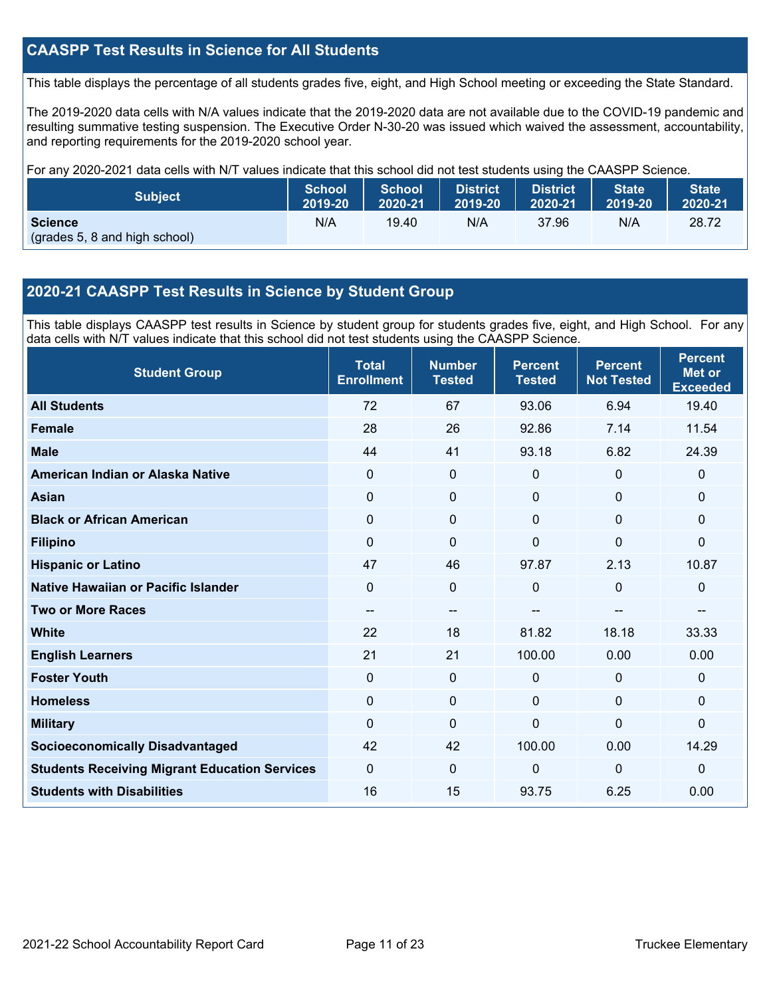### **CAASPP Test Results in Science for All Students**

This table displays the percentage of all students grades five, eight, and High School meeting or exceeding the State Standard.

The 2019-2020 data cells with N/A values indicate that the 2019-2020 data are not available due to the COVID-19 pandemic and resulting summative testing suspension. The Executive Order N-30-20 was issued which waived the assessment, accountability, and reporting requirements for the 2019-2020 school year.

For any 2020-2021 data cells with N/T values indicate that this school did not test students using the CAASPP Science.

| <b>Subject</b>                                  | <b>School</b> | <b>School</b> | <b>District</b> | <b>District</b> | <b>State</b> | <b>State</b> |
|-------------------------------------------------|---------------|---------------|-----------------|-----------------|--------------|--------------|
|                                                 | 2019-20       | 2020-21       | 2019-20         | 2020-21         | 2019-20      | 2020-21      |
| <b>Science</b><br>(grades 5, 8 and high school) | N/A           | 19.40         | N/A             | 37.96           | N/A          | 28.72        |

#### **2020-21 CAASPP Test Results in Science by Student Group**

This table displays CAASPP test results in Science by student group for students grades five, eight, and High School. For any data cells with N/T values indicate that this school did not test students using the CAASPP Science.

| <b>Student Group</b>                                 | <b>Total</b><br><b>Enrollment</b> | <b>Number</b><br><b>Tested</b> | <b>Percent</b><br><b>Tested</b> | <b>Percent</b><br><b>Not Tested</b> | <b>Percent</b><br><b>Met or</b><br><b>Exceeded</b> |
|------------------------------------------------------|-----------------------------------|--------------------------------|---------------------------------|-------------------------------------|----------------------------------------------------|
| <b>All Students</b>                                  | 72                                | 67                             | 93.06                           | 6.94                                | 19.40                                              |
| <b>Female</b>                                        | 28                                | 26                             | 92.86                           | 7.14                                | 11.54                                              |
| <b>Male</b>                                          | 44                                | 41                             | 93.18                           | 6.82                                | 24.39                                              |
| American Indian or Alaska Native                     | $\Omega$                          | 0                              | 0                               | $\mathbf 0$                         | $\mathbf 0$                                        |
| <b>Asian</b>                                         | 0                                 | $\pmb{0}$                      | $\mathbf{0}$                    | $\mathbf 0$                         | 0                                                  |
| <b>Black or African American</b>                     | 0                                 | $\mathbf 0$                    | 0                               | 0                                   | 0                                                  |
| <b>Filipino</b>                                      | $\Omega$                          | $\Omega$                       | $\Omega$                        | 0                                   | 0                                                  |
| <b>Hispanic or Latino</b>                            | 47                                | 46                             | 97.87                           | 2.13                                | 10.87                                              |
| Native Hawaiian or Pacific Islander                  | 0                                 | $\mathbf 0$                    | $\Omega$                        | $\mathbf 0$                         | 0                                                  |
| <b>Two or More Races</b>                             | $-$                               | $\overline{\phantom{m}}$       | $-$                             | --                                  | --                                                 |
| <b>White</b>                                         | 22                                | 18                             | 81.82                           | 18.18                               | 33.33                                              |
| <b>English Learners</b>                              | 21                                | 21                             | 100.00                          | 0.00                                | 0.00                                               |
| <b>Foster Youth</b>                                  | 0                                 | $\mathbf 0$                    | $\mathbf 0$                     | $\mathbf 0$                         | 0                                                  |
| <b>Homeless</b>                                      | $\Omega$                          | $\mathbf 0$                    | $\mathbf{0}$                    | $\mathbf 0$                         | 0                                                  |
| <b>Military</b>                                      | $\Omega$                          | $\Omega$                       | $\Omega$                        | $\mathbf 0$                         | 0                                                  |
| <b>Socioeconomically Disadvantaged</b>               | 42                                | 42                             | 100.00                          | 0.00                                | 14.29                                              |
| <b>Students Receiving Migrant Education Services</b> | 0                                 | $\mathbf 0$                    | $\mathbf 0$                     | 0                                   | 0                                                  |
| <b>Students with Disabilities</b>                    | 16                                | 15                             | 93.75                           | 6.25                                | 0.00                                               |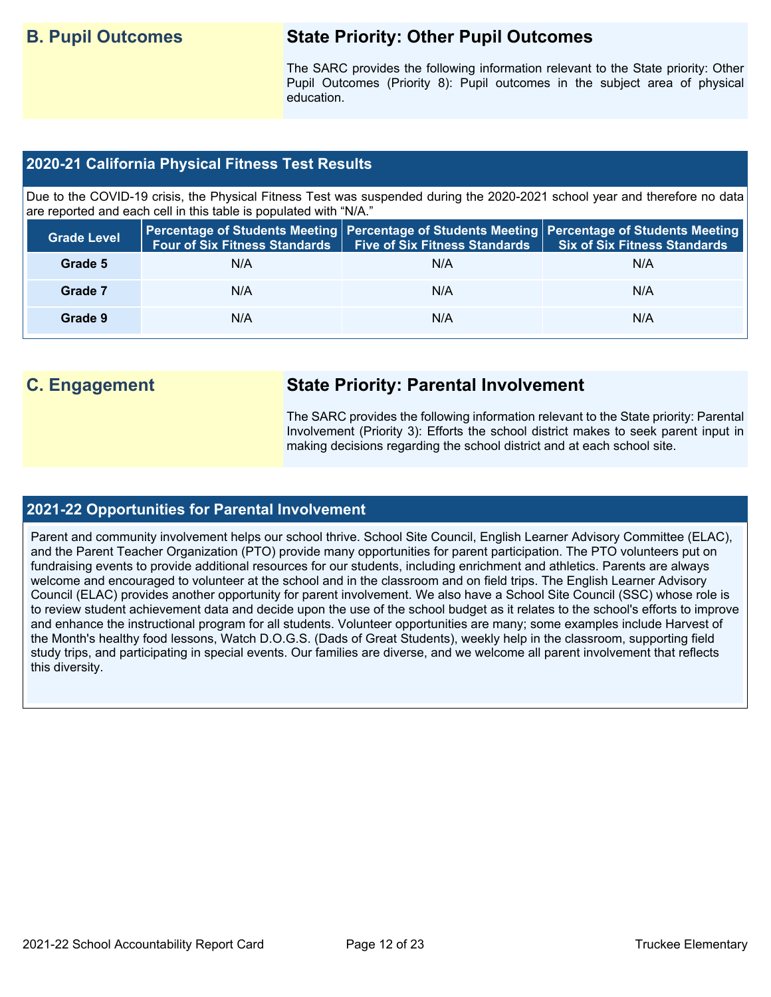# **B. Pupil Outcomes State Priority: Other Pupil Outcomes**

The SARC provides the following information relevant to the State priority: Other Pupil Outcomes (Priority 8): Pupil outcomes in the subject area of physical education.

### **2020-21 California Physical Fitness Test Results**

Due to the COVID-19 crisis, the Physical Fitness Test was suspended during the 2020-2021 school year and therefore no data are reported and each cell in this table is populated with "N/A."

| <b>Grade Level</b> | <b>Four of Six Fitness Standards</b> | Five of Six Fitness Standards   Six of Six Fitness Standards | Percentage of Students Meeting Percentage of Students Meeting Percentage of Students Meeting |
|--------------------|--------------------------------------|--------------------------------------------------------------|----------------------------------------------------------------------------------------------|
| Grade 5            | N/A                                  | N/A                                                          | N/A                                                                                          |
| Grade 7            | N/A                                  | N/A                                                          | N/A                                                                                          |
| Grade 9            | N/A                                  | N/A                                                          | N/A                                                                                          |

# **C. Engagement State Priority: Parental Involvement**

The SARC provides the following information relevant to the State priority: Parental Involvement (Priority 3): Efforts the school district makes to seek parent input in making decisions regarding the school district and at each school site.

#### **2021-22 Opportunities for Parental Involvement**

Parent and community involvement helps our school thrive. School Site Council, English Learner Advisory Committee (ELAC), and the Parent Teacher Organization (PTO) provide many opportunities for parent participation. The PTO volunteers put on fundraising events to provide additional resources for our students, including enrichment and athletics. Parents are always welcome and encouraged to volunteer at the school and in the classroom and on field trips. The English Learner Advisory Council (ELAC) provides another opportunity for parent involvement. We also have a School Site Council (SSC) whose role is to review student achievement data and decide upon the use of the school budget as it relates to the school's efforts to improve and enhance the instructional program for all students. Volunteer opportunities are many; some examples include Harvest of the Month's healthy food lessons, Watch D.O.G.S. (Dads of Great Students), weekly help in the classroom, supporting field study trips, and participating in special events. Our families are diverse, and we welcome all parent involvement that reflects this diversity.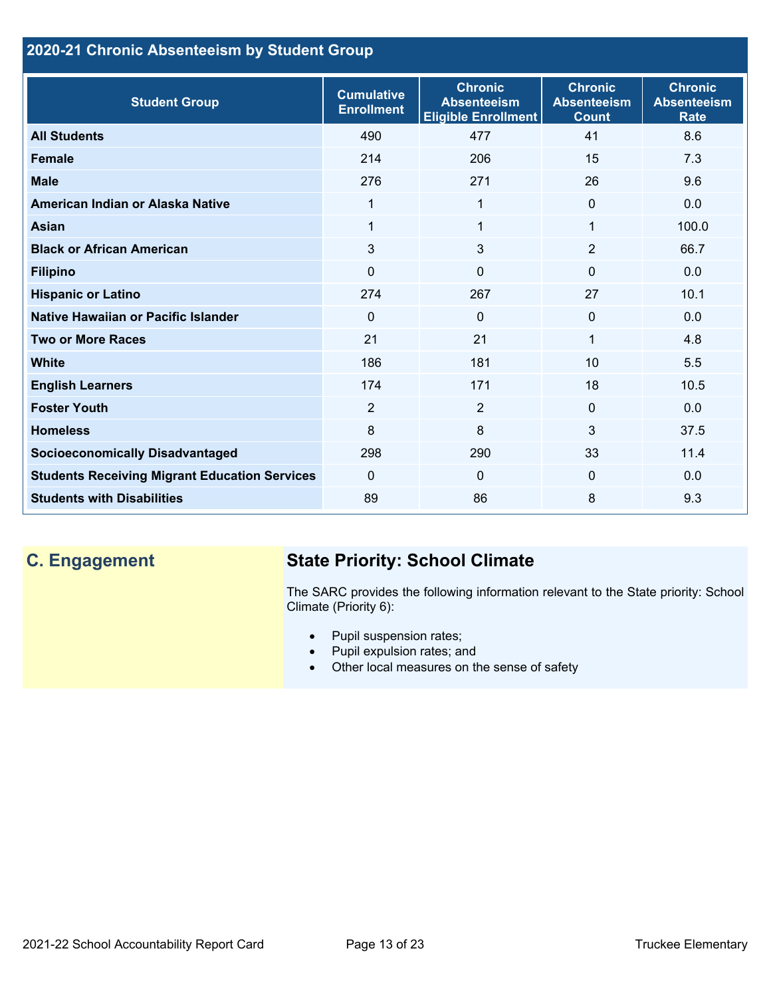# **2020-21 Chronic Absenteeism by Student Group**

| <b>Student Group</b>                                 | <b>Cumulative</b><br><b>Enrollment</b> | <b>Chronic</b><br><b>Absenteeism</b><br><b>Eligible Enrollment</b> | <b>Chronic</b><br><b>Absenteeism</b><br><b>Count</b> | <b>Chronic</b><br><b>Absenteeism</b><br><b>Rate</b> |
|------------------------------------------------------|----------------------------------------|--------------------------------------------------------------------|------------------------------------------------------|-----------------------------------------------------|
| <b>All Students</b>                                  | 490                                    | 477                                                                | 41                                                   | 8.6                                                 |
| <b>Female</b>                                        | 214                                    | 206                                                                | 15                                                   | 7.3                                                 |
| <b>Male</b>                                          | 276                                    | 271                                                                | 26                                                   | 9.6                                                 |
| American Indian or Alaska Native                     | 1                                      | 1                                                                  | $\mathbf{0}$                                         | 0.0                                                 |
| <b>Asian</b>                                         | 1                                      | 1                                                                  | 1                                                    | 100.0                                               |
| <b>Black or African American</b>                     | 3                                      | $\overline{3}$                                                     | $\overline{2}$                                       | 66.7                                                |
| <b>Filipino</b>                                      | $\mathbf 0$                            | $\mathbf 0$                                                        | $\mathbf{0}$                                         | 0.0                                                 |
| <b>Hispanic or Latino</b>                            | 274                                    | 267                                                                | 27                                                   | 10.1                                                |
| Native Hawaiian or Pacific Islander                  | $\Omega$                               | 0                                                                  | 0                                                    | 0.0                                                 |
| <b>Two or More Races</b>                             | 21                                     | 21                                                                 | 1                                                    | 4.8                                                 |
| <b>White</b>                                         | 186                                    | 181                                                                | 10                                                   | 5.5                                                 |
| <b>English Learners</b>                              | 174                                    | 171                                                                | 18                                                   | 10.5                                                |
| <b>Foster Youth</b>                                  | $\overline{2}$                         | $\overline{2}$                                                     | $\Omega$                                             | 0.0                                                 |
| <b>Homeless</b>                                      | 8                                      | 8                                                                  | 3                                                    | 37.5                                                |
| <b>Socioeconomically Disadvantaged</b>               | 298                                    | 290                                                                | 33                                                   | 11.4                                                |
| <b>Students Receiving Migrant Education Services</b> | $\Omega$                               | 0                                                                  | 0                                                    | 0.0                                                 |
| <b>Students with Disabilities</b>                    | 89                                     | 86                                                                 | 8                                                    | 9.3                                                 |

# **C. Engagement State Priority: School Climate**

The SARC provides the following information relevant to the State priority: School Climate (Priority 6):

- Pupil suspension rates;
- Pupil expulsion rates; and
- Other local measures on the sense of safety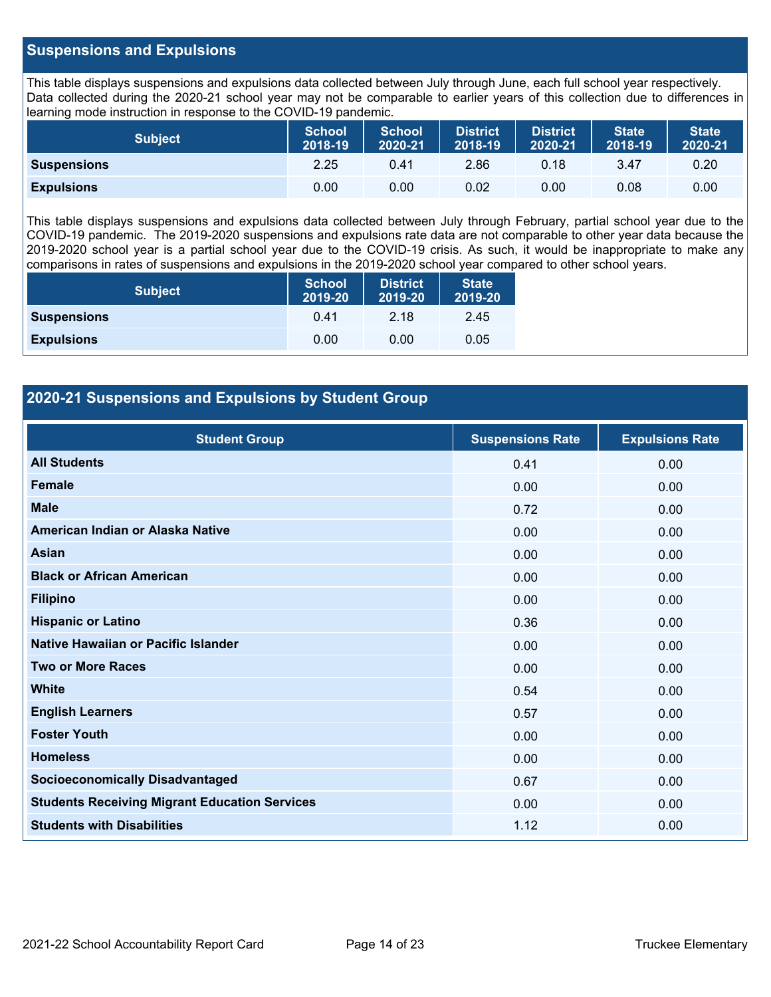#### **Suspensions and Expulsions**

This table displays suspensions and expulsions data collected between July through June, each full school year respectively. Data collected during the 2020-21 school year may not be comparable to earlier years of this collection due to differences in learning mode instruction in response to the COVID-19 pandemic.

| <b>Subject</b>     | <b>School</b><br>2018-19 | <b>School</b><br>2020-21 | <b>District</b><br>2018-19 | <b>District</b><br>2020-21 | <b>State</b><br>2018-19 | <b>State</b><br>2020-21 |
|--------------------|--------------------------|--------------------------|----------------------------|----------------------------|-------------------------|-------------------------|
| <b>Suspensions</b> | 2.25                     | 0.41                     | 2.86                       | 0.18                       | 3.47                    | 0.20                    |
| <b>Expulsions</b>  | 0.00                     | 0.00                     | 0.02                       | 0.00                       | 0.08                    | 0.00                    |

This table displays suspensions and expulsions data collected between July through February, partial school year due to the COVID-19 pandemic. The 2019-2020 suspensions and expulsions rate data are not comparable to other year data because the 2019-2020 school year is a partial school year due to the COVID-19 crisis. As such, it would be inappropriate to make any comparisons in rates of suspensions and expulsions in the 2019-2020 school year compared to other school years.

| <b>Subject</b>     | <b>School</b><br>2019-20 | <b>District</b><br>2019-20 | <b>State</b><br>2019-20 |
|--------------------|--------------------------|----------------------------|-------------------------|
| <b>Suspensions</b> | 0.41                     | 2.18                       | 2.45                    |
| <b>Expulsions</b>  | 0.00                     | 0.00                       | 0.05                    |

#### **2020-21 Suspensions and Expulsions by Student Group**

| <b>Student Group</b>                                 | <b>Suspensions Rate</b> | <b>Expulsions Rate</b> |
|------------------------------------------------------|-------------------------|------------------------|
| <b>All Students</b>                                  | 0.41                    | 0.00                   |
| <b>Female</b>                                        | 0.00                    | 0.00                   |
| <b>Male</b>                                          | 0.72                    | 0.00                   |
| American Indian or Alaska Native                     | 0.00                    | 0.00                   |
| Asian                                                | 0.00                    | 0.00                   |
| <b>Black or African American</b>                     | 0.00                    | 0.00                   |
| <b>Filipino</b>                                      | 0.00                    | 0.00                   |
| <b>Hispanic or Latino</b>                            | 0.36                    | 0.00                   |
| Native Hawaiian or Pacific Islander                  | 0.00                    | 0.00                   |
| <b>Two or More Races</b>                             | 0.00                    | 0.00                   |
| <b>White</b>                                         | 0.54                    | 0.00                   |
| <b>English Learners</b>                              | 0.57                    | 0.00                   |
| <b>Foster Youth</b>                                  | 0.00                    | 0.00                   |
| <b>Homeless</b>                                      | 0.00                    | 0.00                   |
| <b>Socioeconomically Disadvantaged</b>               | 0.67                    | 0.00                   |
| <b>Students Receiving Migrant Education Services</b> | 0.00                    | 0.00                   |
| <b>Students with Disabilities</b>                    | 1.12                    | 0.00                   |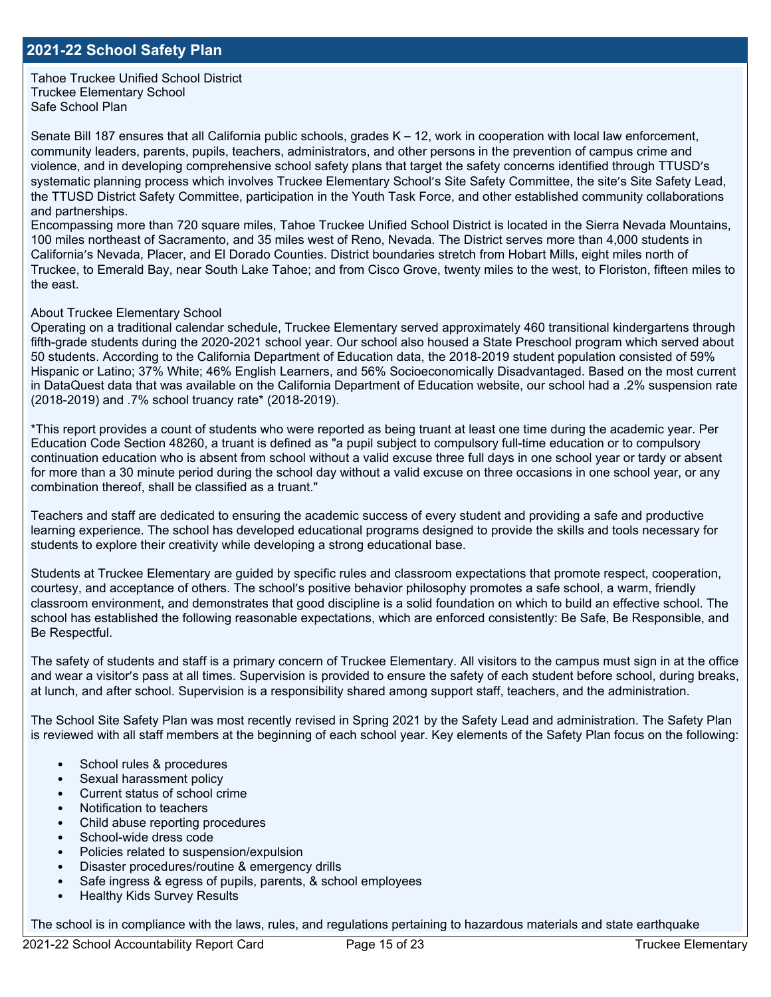Tahoe Truckee Unified School District Truckee Elementary School Safe School Plan

Senate Bill 187 ensures that all California public schools, grades K – 12, work in cooperation with local law enforcement, community leaders, parents, pupils, teachers, administrators, and other persons in the prevention of campus crime and violence, and in developing comprehensive school safety plans that target the safety concerns identified through TTUSD's systematic planning process which involves Truckee Elementary School's Site Safety Committee, the site's Site Safety Lead, the TTUSD District Safety Committee, participation in the Youth Task Force, and other established community collaborations and partnerships.

Encompassing more than 720 square miles, Tahoe Truckee Unified School District is located in the Sierra Nevada Mountains, 100 miles northeast of Sacramento, and 35 miles west of Reno, Nevada. The District serves more than 4,000 students in California's Nevada, Placer, and El Dorado Counties. District boundaries stretch from Hobart Mills, eight miles north of Truckee, to Emerald Bay, near South Lake Tahoe; and from Cisco Grove, twenty miles to the west, to Floriston, fifteen miles to the east.

#### About Truckee Elementary School

Operating on a traditional calendar schedule, Truckee Elementary served approximately 460 transitional kindergartens through fifth-grade students during the 2020-2021 school year. Our school also housed a State Preschool program which served about 50 students. According to the California Department of Education data, the 2018-2019 student population consisted of 59% Hispanic or Latino; 37% White; 46% English Learners, and 56% Socioeconomically Disadvantaged. Based on the most current in DataQuest data that was available on the California Department of Education website, our school had a .2% suspension rate (2018-2019) and .7% school truancy rate\* (2018-2019).

\*This report provides a count of students who were reported as being truant at least one time during the academic year. Per Education Code Section 48260, a truant is defined as "a pupil subject to compulsory full-time education or to compulsory continuation education who is absent from school without a valid excuse three full days in one school year or tardy or absent for more than a 30 minute period during the school day without a valid excuse on three occasions in one school year, or any combination thereof, shall be classified as a truant."

Teachers and staff are dedicated to ensuring the academic success of every student and providing a safe and productive learning experience. The school has developed educational programs designed to provide the skills and tools necessary for students to explore their creativity while developing a strong educational base.

Students at Truckee Elementary are guided by specific rules and classroom expectations that promote respect, cooperation, courtesy, and acceptance of others. The school's positive behavior philosophy promotes a safe school, a warm, friendly classroom environment, and demonstrates that good discipline is a solid foundation on which to build an effective school. The school has established the following reasonable expectations, which are enforced consistently: Be Safe, Be Responsible, and Be Respectful.

The safety of students and staff is a primary concern of Truckee Elementary. All visitors to the campus must sign in at the office and wear a visitor's pass at all times. Supervision is provided to ensure the safety of each student before school, during breaks, at lunch, and after school. Supervision is a responsibility shared among support staff, teachers, and the administration.

The School Site Safety Plan was most recently revised in Spring 2021 by the Safety Lead and administration. The Safety Plan is reviewed with all staff members at the beginning of each school year. Key elements of the Safety Plan focus on the following:

- School rules & procedures
- Sexual harassment policy
- Current status of school crime
- Notification to teachers
- Child abuse reporting procedures
- School-wide dress code
- Policies related to suspension/expulsion
- Disaster procedures/routine & emergency drills
- Safe ingress & egress of pupils, parents, & school employees
- Healthy Kids Survey Results

The school is in compliance with the laws, rules, and regulations pertaining to hazardous materials and state earthquake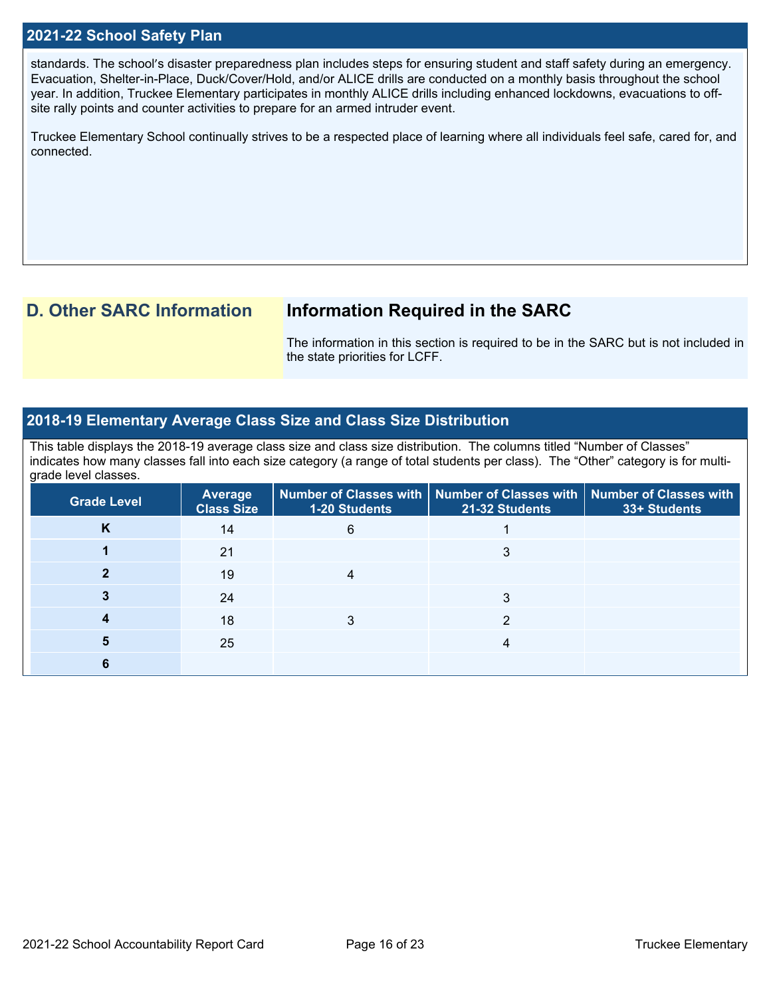#### **2021-22 School Safety Plan**

standards. The school's disaster preparedness plan includes steps for ensuring student and staff safety during an emergency. Evacuation, Shelter-in-Place, Duck/Cover/Hold, and/or ALICE drills are conducted on a monthly basis throughout the school year. In addition, Truckee Elementary participates in monthly ALICE drills including enhanced lockdowns, evacuations to offsite rally points and counter activities to prepare for an armed intruder event.

Truckee Elementary School continually strives to be a respected place of learning where all individuals feel safe, cared for, and connected.

# **D. Other SARC Information Information Required in the SARC**

The information in this section is required to be in the SARC but is not included in the state priorities for LCFF.

#### **2018-19 Elementary Average Class Size and Class Size Distribution**

This table displays the 2018-19 average class size and class size distribution. The columns titled "Number of Classes" indicates how many classes fall into each size category (a range of total students per class). The "Other" category is for multigrade level classes.

| <b>Grade Level</b> | <b>Average</b><br><b>Class Size</b> | <b>1-20 Students</b> | Number of Classes with   Number of Classes with   Number of Classes with<br>21-32 Students | 33+ Students |
|--------------------|-------------------------------------|----------------------|--------------------------------------------------------------------------------------------|--------------|
| K                  | 14                                  | 6                    |                                                                                            |              |
|                    | 21                                  |                      |                                                                                            |              |
|                    | 19                                  |                      |                                                                                            |              |
|                    | 24                                  |                      |                                                                                            |              |
|                    | 18                                  |                      |                                                                                            |              |
|                    | 25                                  |                      | 4                                                                                          |              |
|                    |                                     |                      |                                                                                            |              |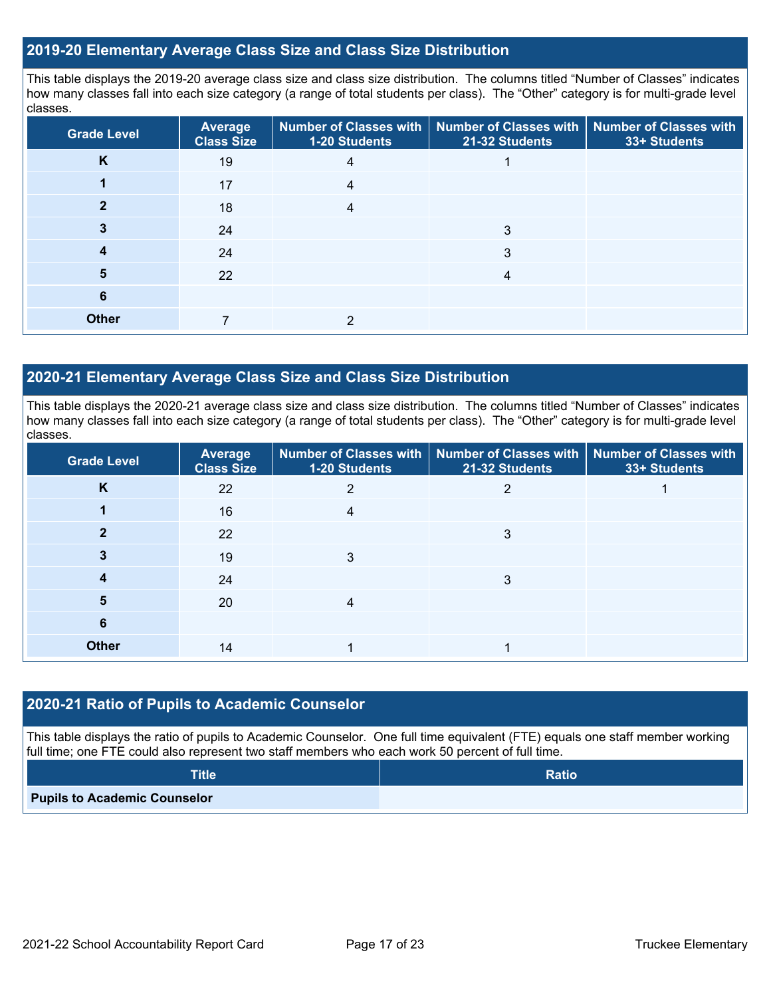#### **2019-20 Elementary Average Class Size and Class Size Distribution**

This table displays the 2019-20 average class size and class size distribution. The columns titled "Number of Classes" indicates how many classes fall into each size category (a range of total students per class). The "Other" category is for multi-grade level classes.

| <b>Grade Level</b> | <b>Average</b><br><b>Class Size</b> | <b>1-20 Students</b> | Number of Classes with   Number of Classes with  <br>21-32 Students | <b>Number of Classes with</b><br>33+ Students |
|--------------------|-------------------------------------|----------------------|---------------------------------------------------------------------|-----------------------------------------------|
| K                  | 19                                  | 4                    |                                                                     |                                               |
|                    | 17                                  |                      |                                                                     |                                               |
|                    | 18                                  |                      |                                                                     |                                               |
|                    | 24                                  |                      | 3                                                                   |                                               |
| 4                  | 24                                  |                      | 3                                                                   |                                               |
| 5                  | 22                                  |                      | 4                                                                   |                                               |
| 6                  |                                     |                      |                                                                     |                                               |
| <b>Other</b>       |                                     | າ                    |                                                                     |                                               |

#### **2020-21 Elementary Average Class Size and Class Size Distribution**

This table displays the 2020-21 average class size and class size distribution. The columns titled "Number of Classes" indicates how many classes fall into each size category (a range of total students per class). The "Other" category is for multi-grade level classes.

| <b>Grade Level</b> | <b>Average</b><br><b>Class Size</b> | <b>1-20 Students</b> | Number of Classes with   Number of Classes with   Number of Classes with<br>21-32 Students | 33+ Students |
|--------------------|-------------------------------------|----------------------|--------------------------------------------------------------------------------------------|--------------|
| K                  | 22                                  |                      |                                                                                            |              |
|                    | 16                                  | 4                    |                                                                                            |              |
|                    | 22                                  |                      | 3                                                                                          |              |
|                    | 19                                  | 3                    |                                                                                            |              |
|                    | 24                                  |                      | 3                                                                                          |              |
| 5                  | 20                                  |                      |                                                                                            |              |
| 6                  |                                     |                      |                                                                                            |              |
| <b>Other</b>       | 14                                  |                      |                                                                                            |              |

#### **2020-21 Ratio of Pupils to Academic Counselor**

This table displays the ratio of pupils to Academic Counselor. One full time equivalent (FTE) equals one staff member working full time; one FTE could also represent two staff members who each work 50 percent of full time.

| <b>Title</b>                        | <b>Ratio</b> |
|-------------------------------------|--------------|
| <b>Pupils to Academic Counselor</b> |              |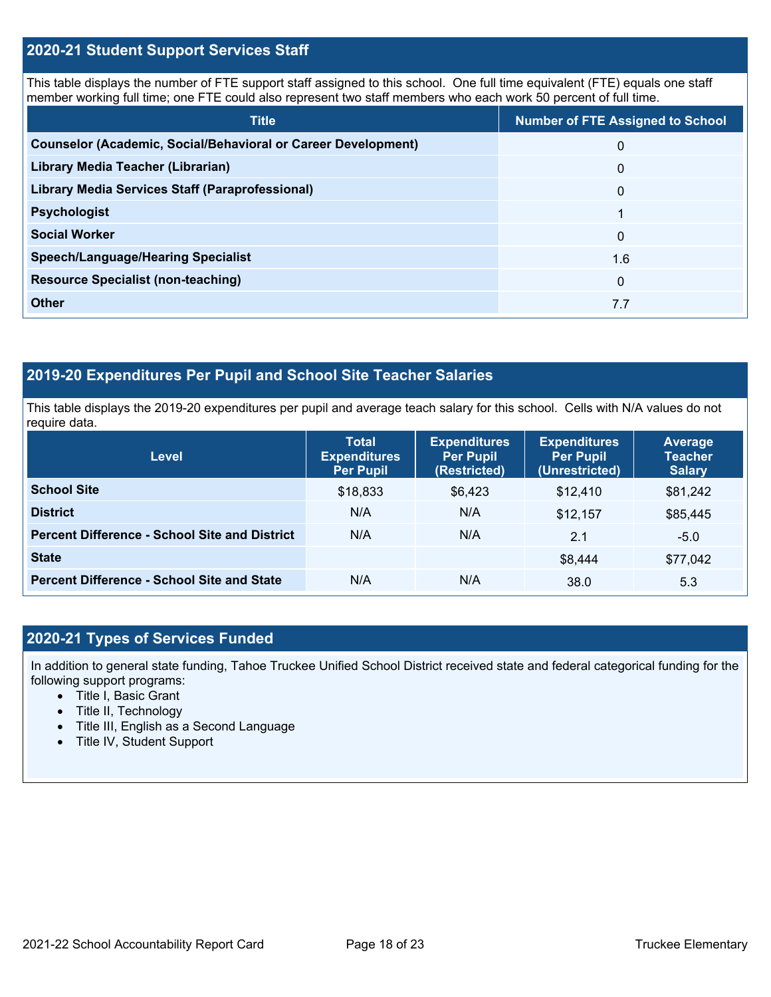#### **2020-21 Student Support Services Staff**

This table displays the number of FTE support staff assigned to this school. One full time equivalent (FTE) equals one staff member working full time; one FTE could also represent two staff members who each work 50 percent of full time.

| <b>Title</b>                                                         | <b>Number of FTE Assigned to School</b> |
|----------------------------------------------------------------------|-----------------------------------------|
| <b>Counselor (Academic, Social/Behavioral or Career Development)</b> | $\Omega$                                |
| Library Media Teacher (Librarian)                                    | $\mathbf{0}$                            |
| <b>Library Media Services Staff (Paraprofessional)</b>               | $\mathbf{0}$                            |
| <b>Psychologist</b>                                                  |                                         |
| <b>Social Worker</b>                                                 | $\Omega$                                |
| <b>Speech/Language/Hearing Specialist</b>                            | 1.6                                     |
| <b>Resource Specialist (non-teaching)</b>                            | $\Omega$                                |
| <b>Other</b>                                                         | 7.7                                     |

# **2019-20 Expenditures Per Pupil and School Site Teacher Salaries**

This table displays the 2019-20 expenditures per pupil and average teach salary for this school. Cells with N/A values do not require data.

| <b>Level</b>                                         | <b>Total</b><br><b>Expenditures</b><br><b>Per Pupil</b> | <b>Expenditures</b><br><b>Per Pupil</b><br>(Restricted) | <b>Expenditures</b><br><b>Per Pupil</b><br>(Unrestricted) | Average<br><b>Teacher</b><br><b>Salary</b> |
|------------------------------------------------------|---------------------------------------------------------|---------------------------------------------------------|-----------------------------------------------------------|--------------------------------------------|
| <b>School Site</b>                                   | \$18,833                                                | \$6,423                                                 | \$12,410                                                  | \$81,242                                   |
| <b>District</b>                                      | N/A                                                     | N/A                                                     | \$12,157                                                  | \$85,445                                   |
| <b>Percent Difference - School Site and District</b> | N/A                                                     | N/A                                                     | 2.1                                                       | $-5.0$                                     |
| <b>State</b>                                         |                                                         |                                                         | \$8,444                                                   | \$77,042                                   |
| <b>Percent Difference - School Site and State</b>    | N/A                                                     | N/A                                                     | 38.0                                                      | 5.3                                        |

### **2020-21 Types of Services Funded**

In addition to general state funding, Tahoe Truckee Unified School District received state and federal categorical funding for the following support programs:

- Title I, Basic Grant
- Title II, Technology
- Title III, English as a Second Language
- Title IV, Student Support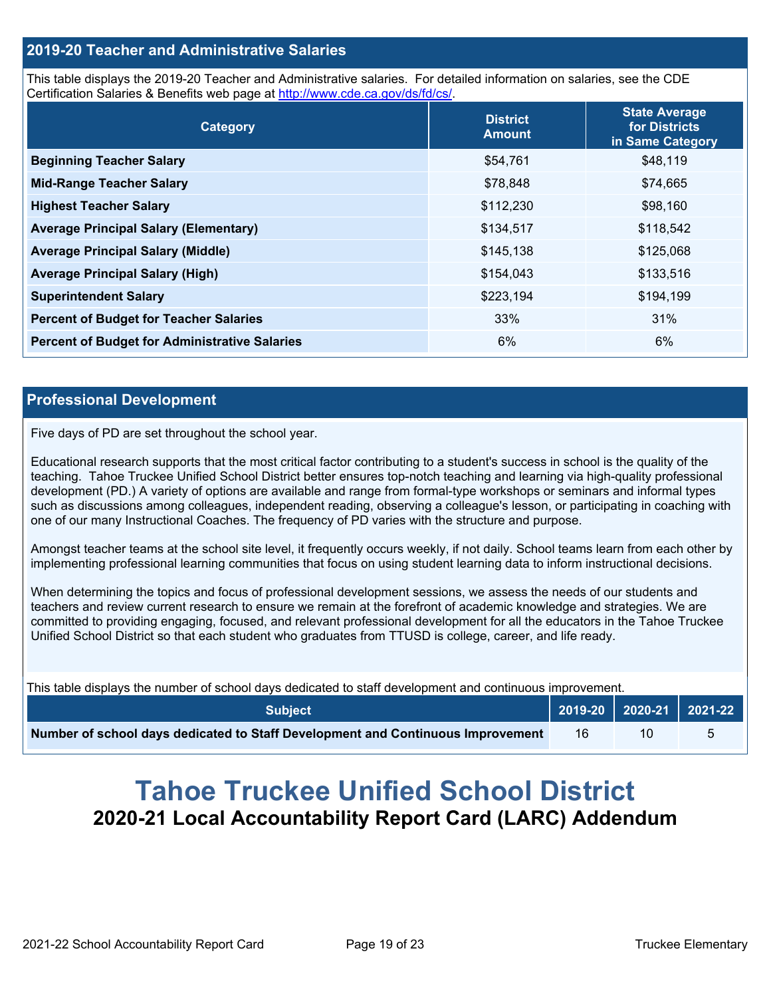#### **2019-20 Teacher and Administrative Salaries**

This table displays the 2019-20 Teacher and Administrative salaries. For detailed information on salaries, see the CDE Certification Salaries & Benefits web page at<http://www.cde.ca.gov/ds/fd/cs/>.

| Category                                             | <b>District</b><br><b>Amount</b> | <b>State Average</b><br>for Districts<br>in Same Category |
|------------------------------------------------------|----------------------------------|-----------------------------------------------------------|
| <b>Beginning Teacher Salary</b>                      | \$54,761                         | \$48,119                                                  |
| <b>Mid-Range Teacher Salary</b>                      | \$78,848                         | \$74,665                                                  |
| <b>Highest Teacher Salary</b>                        | \$112,230                        | \$98,160                                                  |
| <b>Average Principal Salary (Elementary)</b>         | \$134,517                        | \$118,542                                                 |
| <b>Average Principal Salary (Middle)</b>             | \$145,138                        | \$125,068                                                 |
| <b>Average Principal Salary (High)</b>               | \$154,043                        | \$133,516                                                 |
| <b>Superintendent Salary</b>                         | \$223,194                        | \$194,199                                                 |
| <b>Percent of Budget for Teacher Salaries</b>        | 33%                              | 31%                                                       |
| <b>Percent of Budget for Administrative Salaries</b> | 6%                               | 6%                                                        |

#### **Professional Development**

Five days of PD are set throughout the school year.

Educational research supports that the most critical factor contributing to a student's success in school is the quality of the teaching. Tahoe Truckee Unified School District better ensures top-notch teaching and learning via high-quality professional development (PD.) A variety of options are available and range from formal-type workshops or seminars and informal types such as discussions among colleagues, independent reading, observing a colleague's lesson, or participating in coaching with one of our many Instructional Coaches. The frequency of PD varies with the structure and purpose.

Amongst teacher teams at the school site level, it frequently occurs weekly, if not daily. School teams learn from each other by implementing professional learning communities that focus on using student learning data to inform instructional decisions.

When determining the topics and focus of professional development sessions, we assess the needs of our students and teachers and review current research to ensure we remain at the forefront of academic knowledge and strategies. We are committed to providing engaging, focused, and relevant professional development for all the educators in the Tahoe Truckee Unified School District so that each student who graduates from TTUSD is college, career, and life ready.

This table displays the number of school days dedicated to staff development and continuous improvement.

| <b>Subject</b>                                                                  |    |  |
|---------------------------------------------------------------------------------|----|--|
| Number of school days dedicated to Staff Development and Continuous Improvement | 16 |  |

# **Tahoe Truckee Unified School District 2020-21 Local Accountability Report Card (LARC) Addendum**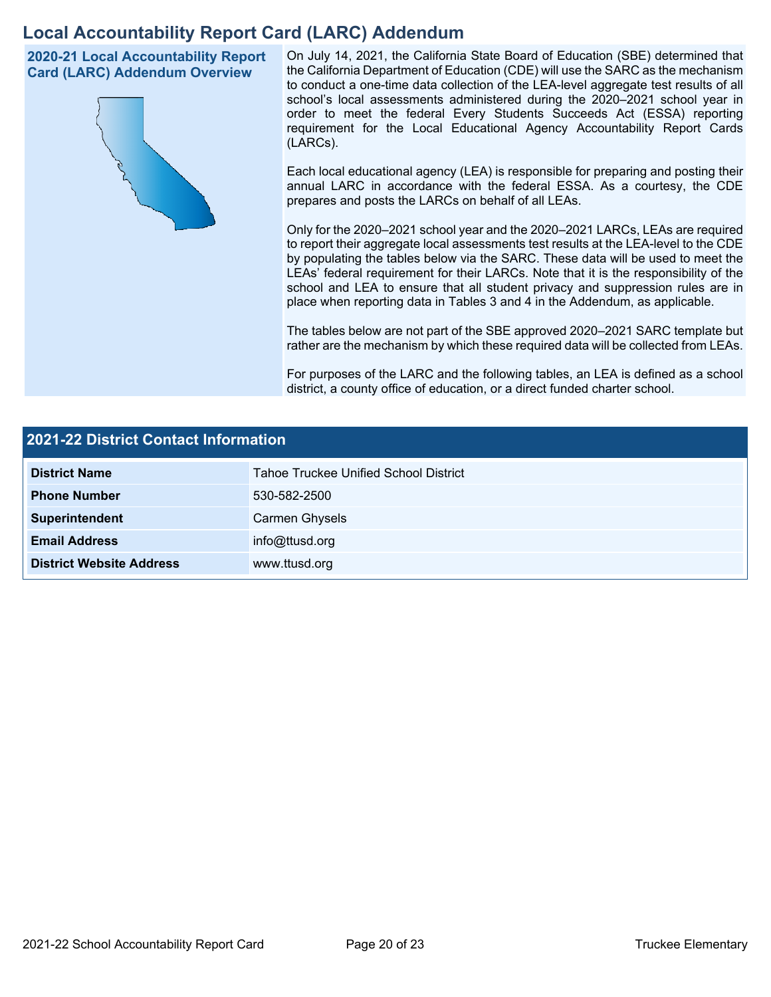# **Local Accountability Report Card (LARC) Addendum**

**2020-21 Local Accountability Report Card (LARC) Addendum Overview**



On July 14, 2021, the California State Board of Education (SBE) determined that the California Department of Education (CDE) will use the SARC as the mechanism to conduct a one-time data collection of the LEA-level aggregate test results of all school's local assessments administered during the 2020–2021 school year in order to meet the federal Every Students Succeeds Act (ESSA) reporting requirement for the Local Educational Agency Accountability Report Cards (LARCs).

Each local educational agency (LEA) is responsible for preparing and posting their annual LARC in accordance with the federal ESSA. As a courtesy, the CDE prepares and posts the LARCs on behalf of all LEAs.

Only for the 2020–2021 school year and the 2020–2021 LARCs, LEAs are required to report their aggregate local assessments test results at the LEA-level to the CDE by populating the tables below via the SARC. These data will be used to meet the LEAs' federal requirement for their LARCs. Note that it is the responsibility of the school and LEA to ensure that all student privacy and suppression rules are in place when reporting data in Tables 3 and 4 in the Addendum, as applicable.

The tables below are not part of the SBE approved 2020–2021 SARC template but rather are the mechanism by which these required data will be collected from LEAs.

For purposes of the LARC and the following tables, an LEA is defined as a school district, a county office of education, or a direct funded charter school.

| 2021-22 District Contact Information |                                              |  |  |  |
|--------------------------------------|----------------------------------------------|--|--|--|
| <b>District Name</b>                 | <b>Tahoe Truckee Unified School District</b> |  |  |  |
| <b>Phone Number</b>                  | 530-582-2500                                 |  |  |  |
| Superintendent                       | Carmen Ghysels                               |  |  |  |
| <b>Email Address</b>                 | info@ttusd.org                               |  |  |  |
| <b>District Website Address</b>      | www.ttusd.org                                |  |  |  |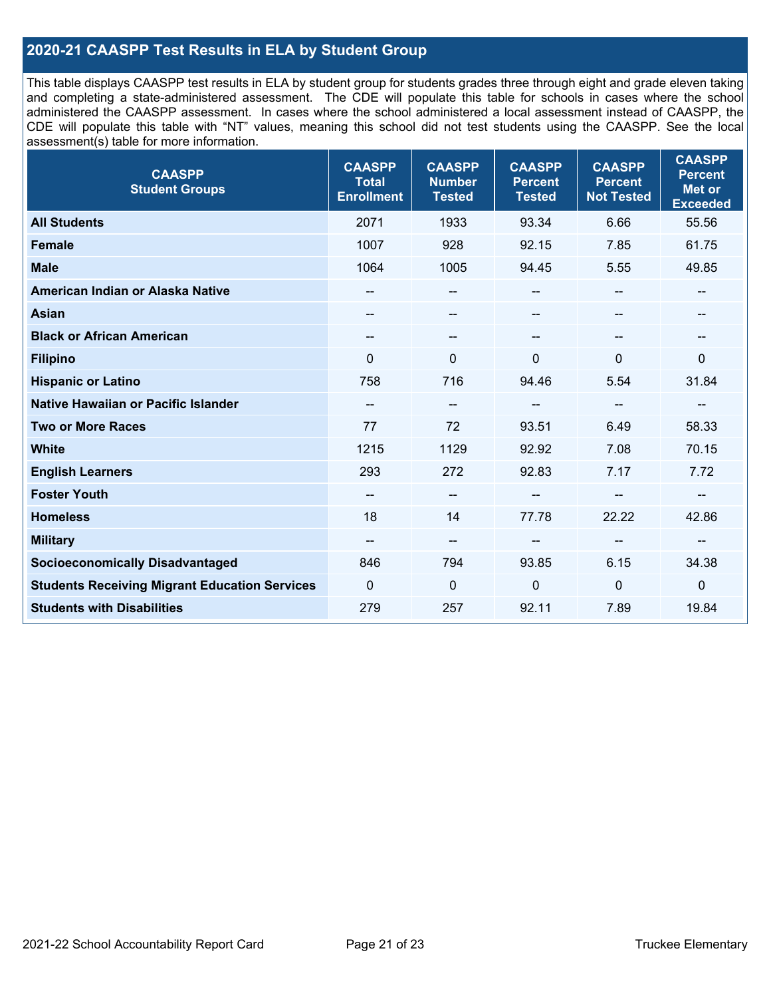### **2020-21 CAASPP Test Results in ELA by Student Group**

This table displays CAASPP test results in ELA by student group for students grades three through eight and grade eleven taking and completing a state-administered assessment. The CDE will populate this table for schools in cases where the school administered the CAASPP assessment. In cases where the school administered a local assessment instead of CAASPP, the CDE will populate this table with "NT" values, meaning this school did not test students using the CAASPP. See the local assessment(s) table for more information.

| <b>CAASPP</b><br><b>Student Groups</b>               | <b>CAASPP</b><br><b>Total</b><br><b>Enrollment</b> | <b>CAASPP</b><br><b>Number</b><br><b>Tested</b> | <b>CAASPP</b><br><b>Percent</b><br><b>Tested</b> | <b>CAASPP</b><br><b>Percent</b><br><b>Not Tested</b> | <b>CAASPP</b><br><b>Percent</b><br>Met or<br><b>Exceeded</b> |
|------------------------------------------------------|----------------------------------------------------|-------------------------------------------------|--------------------------------------------------|------------------------------------------------------|--------------------------------------------------------------|
| <b>All Students</b>                                  | 2071                                               | 1933                                            | 93.34                                            | 6.66                                                 | 55.56                                                        |
| <b>Female</b>                                        | 1007                                               | 928                                             | 92.15                                            | 7.85                                                 | 61.75                                                        |
| <b>Male</b>                                          | 1064                                               | 1005                                            | 94.45                                            | 5.55                                                 | 49.85                                                        |
| American Indian or Alaska Native                     |                                                    | $\hspace{0.05cm}$ – $\hspace{0.05cm}$           | --                                               | $\hspace{0.05cm}$ – $\hspace{0.05cm}$                | --                                                           |
| <b>Asian</b>                                         | $\qquad \qquad \qquad -$                           | --                                              | --                                               | --                                                   | --                                                           |
| <b>Black or African American</b>                     | $\overline{\phantom{a}}$                           | --                                              | --                                               |                                                      | --                                                           |
| <b>Filipino</b>                                      | $\Omega$                                           | $\Omega$                                        | $\mathbf{0}$                                     | 0                                                    | $\mathbf{0}$                                                 |
| <b>Hispanic or Latino</b>                            | 758                                                | 716                                             | 94.46                                            | 5.54                                                 | 31.84                                                        |
| Native Hawaiian or Pacific Islander                  | $-\!$ $\!-$                                        | $-\!$                                           | --                                               | $\overline{\phantom{m}}$                             | --                                                           |
| <b>Two or More Races</b>                             | 77                                                 | 72                                              | 93.51                                            | 6.49                                                 | 58.33                                                        |
| <b>White</b>                                         | 1215                                               | 1129                                            | 92.92                                            | 7.08                                                 | 70.15                                                        |
| <b>English Learners</b>                              | 293                                                | 272                                             | 92.83                                            | 7.17                                                 | 7.72                                                         |
| <b>Foster Youth</b>                                  |                                                    | $-\!$ $\!-$                                     |                                                  |                                                      |                                                              |
| <b>Homeless</b>                                      | 18                                                 | 14                                              | 77.78                                            | 22.22                                                | 42.86                                                        |
| <b>Military</b>                                      | $\hspace{0.05cm}$ – $\hspace{0.05cm}$              | $\overline{\phantom{a}}$                        | --                                               | $\overline{\phantom{m}}$                             | $-\!$                                                        |
| <b>Socioeconomically Disadvantaged</b>               | 846                                                | 794                                             | 93.85                                            | 6.15                                                 | 34.38                                                        |
| <b>Students Receiving Migrant Education Services</b> | $\mathbf 0$                                        | 0                                               | $\mathbf 0$                                      | $\mathbf{0}$                                         | $\mathbf 0$                                                  |
| <b>Students with Disabilities</b>                    | 279                                                | 257                                             | 92.11                                            | 7.89                                                 | 19.84                                                        |